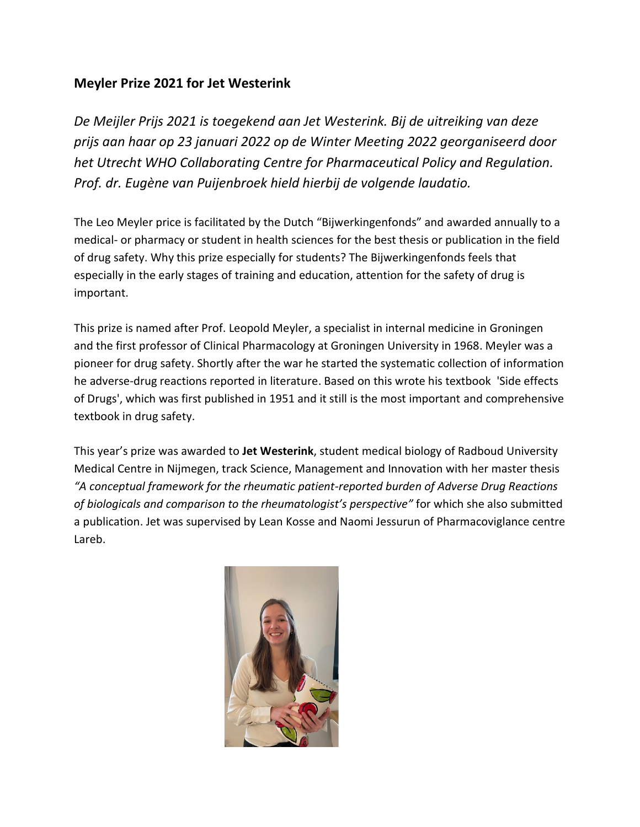## **Meyler Prize 2021 for Jet Westerink**

*De Meijler Prijs 2021 is toegekend aan Jet Westerink. Bij de uitreiking van deze prijs aan haar op 23 januari 2022 op de Winter Meeting 2022 georganiseerd door het Utrecht WHO Collaborating Centre for Pharmaceutical Policy and Regulation. Prof. dr. Eugène van Puijenbroek hield hierbij de volgende laudatio.*

The Leo Meyler price is facilitated by the Dutch "Bijwerkingenfonds" and awarded annually to a medical- or pharmacy or student in health sciences for the best thesis or publication in the field of drug safety. Why this prize especially for students? The Bijwerkingenfonds feels that especially in the early stages of training and education, attention for the safety of drug is important.

This prize is named after Prof. Leopold Meyler, a specialist in internal medicine in Groningen and the first professor of Clinical Pharmacology at Groningen University in 1968. Meyler was a pioneer for drug safety. Shortly after the war he started the systematic collection of information he adverse-drug reactions reported in literature. Based on this wrote his textbook 'Side effects of Drugs', which was first published in 1951 and it still is the most important and comprehensive textbook in drug safety.

This year's prize was awarded to **Jet Westerink**, student medical biology of Radboud University Medical Centre in Nijmegen, track Science, Management and Innovation with her master thesis *"A conceptual framework for the rheumatic patient-reported burden of Adverse Drug Reactions of biologicals and comparison to the rheumatologist's perspective"* for which she also submitted a publication. Jet was supervised by Lean Kosse and Naomi Jessurun of Pharmacoviglance centre Lareb.